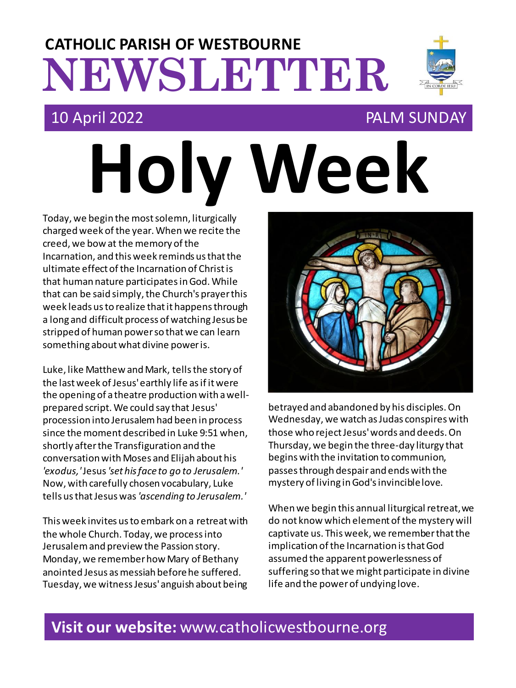# **NEWSLETTER CATHOLIC PARISH OF WESTBOURNE**

**Holy Week**

### 10 April 2022 PALM SUNDAY

Today, we begin the most solemn, liturgically charged week of the year. When we recite the creed, we bow at the memory of the Incarnation, and this week reminds us that the ultimate effect of the Incarnation of Christ is that human nature participates in God. While that can be said simply, the Church's prayer this week leads us to realize that it happens through a long and difficult process of watching Jesus be stripped of human power so that we can learn something about what divine power is.

Luke, like Matthew and Mark, tells the story of the last week of Jesus' earthly life as if it were the opening of a theatre production with a wellprepared script. We could say that Jesus' procession into Jerusalem had been in process since the moment described in Luke 9:51 when, shortly after the Transfiguration and the conversation with Moses and Elijah about his *'exodus,'*Jesus *'set his face to go to Jerusalem.'* Now, with carefully chosen vocabulary, Luke tells us that Jesus was *'ascending to Jerusalem.'*

This week invites us to embark on a retreat with the whole Church. Today, we process into Jerusalem and preview the Passion story. Monday, we remember how Mary of Bethany anointed Jesus as messiah before he suffered. Tuesday, we witness Jesus' anguish about being



betrayed and abandoned by his disciples. On Wednesday, we watch as Judas conspires with those who reject Jesus' words and deeds. On Thursday, we begin the three-day liturgy that begins with the invitation to communion, passesthrough despair and ends with the mystery of living in God's invincible love.

When we begin this annual liturgical retreat, we do not know which element of the mystery will captivate us. This week, we remember that the implication of the Incarnation is that God assumed the apparent powerlessness of suffering so that we might participate in divine life and the power of undying love.

### **Visit our website:** www.catholicwestbourne.org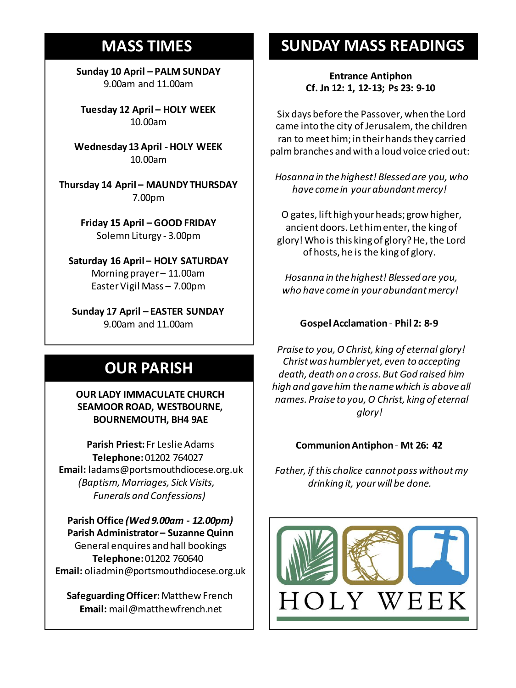### **MASS TIMES**

**Sunday 10 April – PALM SUNDAY** 9.00am and 11.00am

**Tuesday 12 April – HOLY WEEK** 10.00am

**Sunday 11th 9am:** *The Parish* **Wednesday 13 April - HOLY WEEK** 10.00am

**11am** *Tim Mc Cann* **Thursday 14 April – MAUNDY THURSDAY Wednesday 14th** *Repose of the souls of*  7.00pm *Bernard Charles and Elsie May Pratt*

**Saturday 16th** *Rosemarie Schofield RIP* **Friday 15 April – GOOD FRIDAY Sunday 18th 11am** *The Parish*  Solemn Liturgy - 3.00pm

**Saturday 16 April – HOLY SATURDAY** Morning prayer – 11.00am Easter Vigil Mass – 7.00pm

**Sunday 17 April – EASTER SUNDAY** 9.00am and 11.00am

## **OUR PARISH**

**OUR LADY IMMACULATE CHURCH SEAMOOR ROAD, WESTBOURNE, BOURNEMOUTH, BH4 9AE**

**Parish Priest:** Fr Leslie Adams **Telephone:**01202 764027 **Email:** ladams@portsmouthdiocese.org.uk *(Baptism, Marriages, Sick Visits, Funerals and Confessions)*

**Parish Office** *(Wed 9.00am - 12.00pm)* **Parish Administrator – Suzanne Quinn** General enquires andhall bookings **Telephone:**01202 760640 **Email:** oliadmin@portsmouthdiocese.org.uk

**Safeguarding Officer:**Matthew French **Email:** mail@matthewfrench.net

### **SUNDAY MASS READINGS**

**Entrance Antiphon Cf. Jn 12: 1, 12-13; Ps 23: 9-10**

Six days before the Passover, when the Lord came into the city of Jerusalem, the children ran to meet him; in their hands they carried palm branches and with a loud voice cried out:

*Hosanna in the highest! Blessed are you, who have come in your abundant mercy!*

O gates, lift high your heads; grow higher, ancient doors. Let him enter, the king of glory! Who is this king of glory? He, the Lord of hosts, he is the king of glory.

*Hosanna in the highest! Blessed are you, who have come in your abundant mercy!*

### **Gospel Acclamation** - **Phil 2: 8-9**

*Praise to you, O Christ, king of eternal glory! Christ was humbler yet, even to accepting death, death on a cross. But God raised him high and gave him the name which is above all names. Praise to you, O Christ, king of eternal glory!* 

#### **Communion Antiphon**- **Mt 26: 42**

*Father, if this chalice cannot pass without my drinking it, your will be done.* 

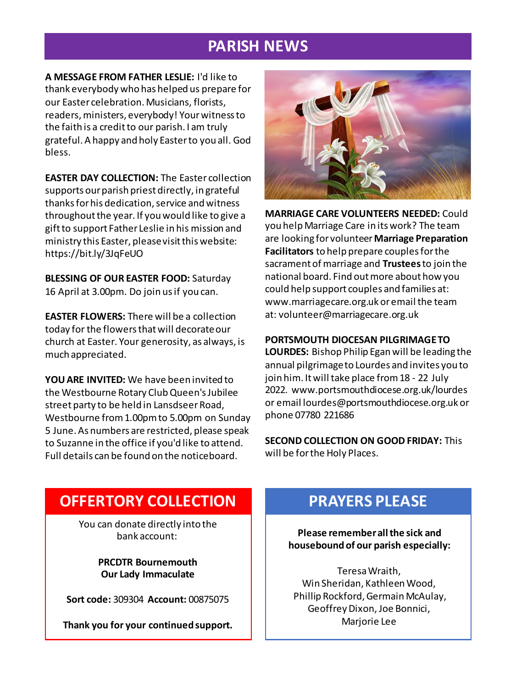### **PARISH NEWS**

**A MESSAGE FROM FATHER LESLIE:** I'd like to thank everybody who has helped us prepare for our Easter celebration. Musicians, florists, readers, ministers, everybody! Yourwitness to the faith is a credit to our parish. I am truly grateful. A happy and holy Easter to you all. God bless.

**EASTER DAY COLLECTION:** The Easter collection supports our parish priest directly, in grateful thanks for his dedication, service and witness throughout the year. If you would like to give a gift to support Father Leslie in his mission and ministry this Easter, please visit this website: https://bit.ly/3JqFeUO

**BLESSING OF OUR EASTER FOOD:** Saturday 16 April at 3.00pm. Do join us if you can.

**EASTER FLOWERS:** There will be a collection today for the flowers that will decorate our church at Easter. Your generosity, as always, is much appreciated.

**YOU ARE INVITED:** We have been invited to the Westbourne Rotary Club Queen's Jubilee street party to be held in Lansdseer Road, Westbourne from 1.00pm to 5.00pm on Sunday 5 June. As numbers are restricted, please speak to Suzanne in the office if you'd like to attend. Full details can be found on the noticeboard.



**MARRIAGE CARE VOLUNTEERS NEEDED:** Could you help Marriage Care in its work? The team are looking for volunteer **Marriage Preparation Facilitators** to help prepare couples for the sacrament of marriage and **Trustees**to join the national board. Find out more about how you could help support couples and families at: www.marriagecare.org.uk or email the team at: volunteer@marriagecare.org.uk

#### **PORTSMOUTH DIOCESAN PILGRIMAGE TO**

**LOURDES:** Bishop Philip Egan will be leading the annual pilgrimage to Lourdes and invites you to join him. It will take place from 18 - 22 July 2022. www.portsmouthdiocese.org.uk/lourdes or email lourdes@portsmouthdiocese.org.uk or phone 07780 221686

**SECOND COLLECTION ON GOOD FRIDAY:** This will be for the Holy Places.

### **OFFERTORY COLLECTION**

You can donate directly into the bank account:

> **PRCDTR Bournemouth Our Lady Immaculate**

**Sort code:** 309304 **Account:** 00875075

**Thank you for your continued support.**

### **PRAYERS PLEASE**

**Please remember all the sick and housebound of our parish especially:**

Teresa Wraith, Win Sheridan, Kathleen Wood, Phillip Rockford, Germain McAulay, Geoffrey Dixon, Joe Bonnici, Marjorie Lee